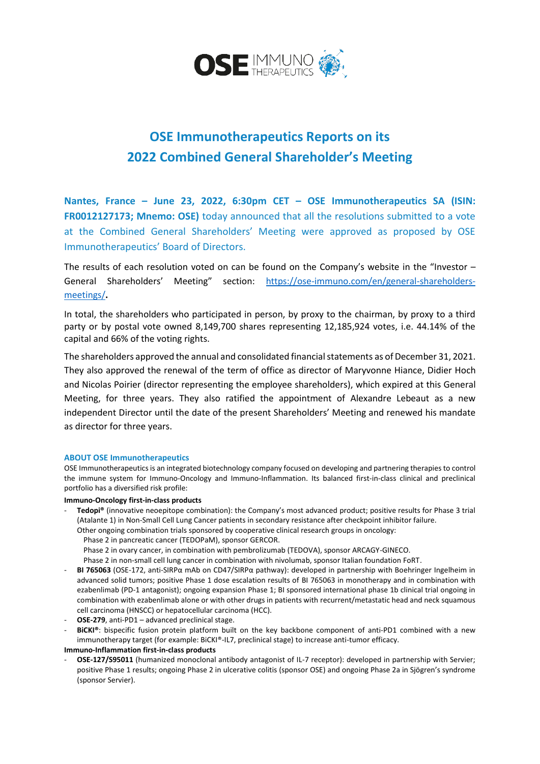

# **OSE Immunotherapeutics Reports on its 2022 Combined General Shareholder's Meeting**

**Nantes, France – June 23, 2022, 6:30pm CET – OSE Immunotherapeutics SA (ISIN: FR0012127173; Mnemo: OSE)** today announced that all the resolutions submitted to a vote at the Combined General Shareholders' Meeting were approved as proposed by OSE Immunotherapeutics' Board of Directors.

The results of each resolution voted on can be found on the Company's website in the "Investor  $-$ General Shareholders' Meeting" section: [https://ose-immuno.com/en/general-shareholders](https://ose-immuno.com/en/general-shareholders-meetings/)[meetings/](https://ose-immuno.com/en/general-shareholders-meetings/)**.**

In total, the shareholders who participated in person, by proxy to the chairman, by proxy to a third party or by postal vote owned 8,149,700 shares representing 12,185,924 votes, i.e. 44.14% of the capital and 66% of the voting rights.

The shareholders approved the annual and consolidated financial statements as of December 31, 2021. They also approved the renewal of the term of office as director of Maryvonne Hiance, Didier Hoch and Nicolas Poirier (director representing the employee shareholders), which expired at this General Meeting, for three years. They also ratified the appointment of Alexandre Lebeaut as a new independent Director until the date of the present Shareholders' Meeting and renewed his mandate as director for three years.

## **ABOUT OSE Immunotherapeutics**

OSE Immunotherapeutics is an integrated biotechnology company focused on developing and partnering therapies to control the immune system for Immuno-Oncology and Immuno-Inflammation. Its balanced first-in-class clinical and preclinical portfolio has a diversified risk profile:

### **Immuno-Oncology first-in-class products**

Tedopi<sup>®</sup> (innovative neoepitope combination): the Company's most advanced product; positive results for Phase 3 trial (Atalante 1) in Non-Small Cell Lung Cancer patients in secondary resistance after checkpoint inhibitor failure. Other ongoing combination trials sponsored by cooperative clinical research groups in oncology:

Phase 2 in pancreatic cancer (TEDOPaM), sponsor GERCOR.

Phase 2 in ovary cancer, in combination with pembrolizumab (TEDOVA), sponsor ARCAGY-GINECO.

Phase 2 in non-small cell lung cancer in combination with nivolumab, sponsor Italian foundation FoRT.

- **BI 765063** (OSE-172, anti-SIRPα mAb on CD47/SIRPα pathway): developed in partnership with Boehringer Ingelheim in advanced solid tumors; positive Phase 1 dose escalation results of BI 765063 in monotherapy and in combination with ezabenlimab (PD-1 antagonist); ongoing expansion Phase 1; BI sponsored international phase 1b clinical trial ongoing in combination with ezabenlimab alone or with other drugs in patients with recurrent/metastatic head and neck squamous cell carcinoma (HNSCC) or hepatocellular carcinoma (HCC).
- OSE-279, anti-PD1 advanced preclinical stage.
- **BiCKI®**: bispecific fusion protein platform built on the key backbone component of anti-PD1 combined with a new immunotherapy target (for example: BiCKI®-IL7, preclinical stage) to increase anti-tumor efficacy.

**Immuno-Inflammation first-in-class products**

- **OSE-127/S95011** (humanized monoclonal antibody antagonist of IL-7 receptor): developed in partnership with Servier; positive Phase 1 results; ongoing Phase 2 in ulcerative colitis (sponsor OSE) and ongoing Phase 2a in Sjögren's syndrome (sponsor Servier).